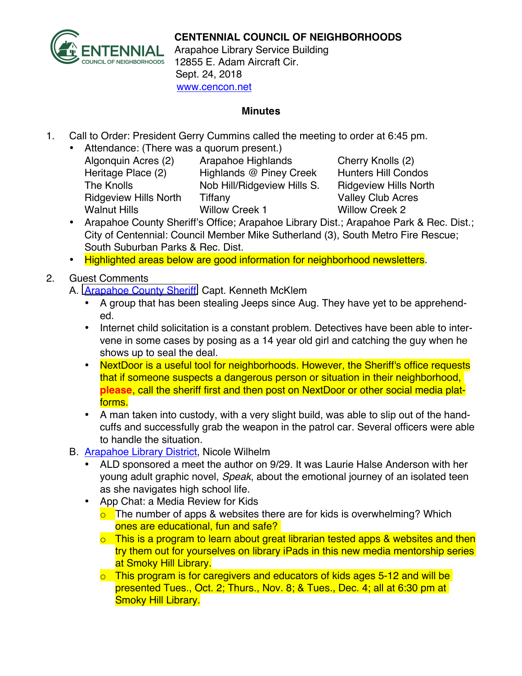

## **CENTENNIAL COUNCIL OF NEIGHBORHOODS**

Arapahoe Library Service Building 12855 E. Adam Aircraft Cir. Sept. 24, 2018 www.cencon.net

## **Minutes**

- 1. Call to Order: President Gerry Cummins called the meeting to order at 6:45 pm.
	- Attendance: (There was a quorum present.)
		- Algonquin Acres (2) Arapahoe Highlands Cherry Knolls (2) Heritage Place (2) Highlands @ Piney Creek Hunters Hill Condos The Knolls Nob Hill/Ridgeview Hills S. Ridgeview Hills North Ridgeview Hills North Tiffany **Valley Club Acres** Walnut Hills **Willow Creek 1** Willow Creek 2

- Arapahoe County Sheriff's Office; Arapahoe Library Dist.; Arapahoe Park & Rec. Dist.; City of Centennial: Council Member Mike Sutherland (3), South Metro Fire Rescue; South Suburban Parks & Rec. Dist.
- Highlighted areas below are good information for neighborhood newsletters.
- 2. Guest Comments
	- A. [Arapahoe County Sheriff,](http://www.arapahoesheriff.org) Capt. Kenneth McKlem
		- A group that has been stealing Jeeps since Aug. They have yet to be apprehended.
		- Internet child solicitation is a constant problem. Detectives have been able to intervene in some cases by posing as a 14 year old girl and catching the guy when he shows up to seal the deal.
		- NextDoor is a useful tool for neighborhoods. However, the Sheriff's office requests that if someone suspects a dangerous person or situation in their neighborhood, **please**, call the sheriff first and then post on NextDoor or other social media platforms.
		- A man taken into custody, with a very slight build, was able to slip out of the handcuffs and successfully grab the weapon in the patrol car. Several officers were able to handle the situation.
	- B. [Arapahoe Library District,](http://www.aprd.org) Nicole Wilhelm
		- [ALD sponsored a mee](http://www.arapahoelibraries.org/)t the author on 9/29. It was Laurie Halse Anderson with her young adult graphic novel, *Speak*, about the emotional journey of an isolated teen as she navigates high school life.
		- App Chat: a Media Review for Kids
			- $\overline{\circ}$  The number of apps & websites there are for kids is overwhelming? Which ones are educational, fun and safe?
			- $\circ$  This is a program to learn about great librarian tested apps & websites and then try them out for yourselves on library iPads in this new media mentorship series at Smoky Hill Library.
			- $\circ$  This program is for caregivers and educators of kids ages 5-12 and will be presented Tues., Oct. 2; Thurs., Nov. 8; & Tues., Dec. 4; all at 6:30 pm at Smoky Hill Library.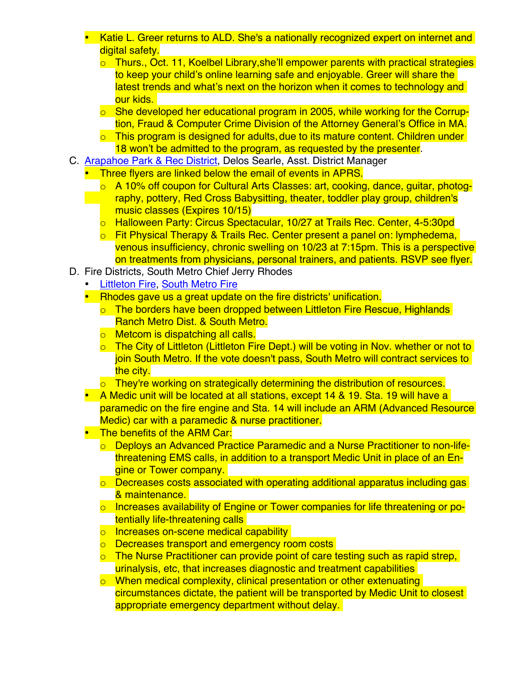- Katie L. Greer returns to ALD. She's a nationally recognized expert on internet and digital safety.
	- o Thurs., Oct. 11, Koelbel Library,she'll empower parents with practical strategies to keep your child's online learning safe and enjoyable. Greer will share the latest trends and what's next on the horizon when it comes to technology and our kids.
	- o She developed her educational program in 2005, while working for the Corruption, Fraud & Computer Crime Division of the Attorney General's Office in MA.
	- $\circ$  This program is designed for adults, due to its mature content. Children under 18 won't be admitted to the program, as requested by the presenter.
- C. [Arapahoe Park & Rec District,](http://www.aprd.org) Delos Searle, Asst. District Manager
	- Three flyers are linked below the email of events in APRS.
		- o A 10% off coupon for Cultural Arts Classes: art, cooking, dance, guitar, photography, pottery, Red Cross Babysitting, theater, toddler play group, children's music classes (Expires 10/15)
		- o Halloween Party: Circus Spectacular, 10/27 at Trails Rec. Center, 4-5:30pd
		- o Fit Physical Therapy & Trails Rec. Center present a panel on: lymphedema, venous insufficiency, chronic swelling on 10/23 at 7:15pm. This is a perspective on treatments from physicians, personal trainers, and patients. RSVP see flyer.
- D. Fire Districts, South Metro Chief Jerry Rhodes
	- **[Littleton Fire](http://www.littletongov.org/fire), [South Metro Fire](http://www.southmetro.org)**
	- Rhodes gave us a great update on the fire districts' unification.
		- o The borders have been dropped between Littleton Fire Rescue, Highlands Ranch Metro Dist. & South Metro.
		- o Metcom is dispatching all calls.
		- o The City of Littleton (Littleton Fire Dept.) will be voting in Nov. whether or not to join South Metro. If the vote doesn't pass, South Metro will contract services to the city.
		- o They're working on strategically determining the distribution of resources.
	- A Medic unit will be located at all stations, except 14 & 19. Sta. 19 will have a paramedic on the fire engine and Sta. 14 will include an ARM (Advanced Resource Medic) car with a paramedic & nurse practitioner.
	- The benefits of the ARM Car:
		- o Deploys an Advanced Practice Paramedic and a Nurse Practitioner to non-lifethreatening EMS calls, in addition to a transport Medic Unit in place of an Engine or Tower company.
		- o Decreases costs associated with operating additional apparatus including gas & maintenance.
		- o Increases availability of Engine or Tower companies for life threatening or potentially life-threatening calls
		- o Increases on-scene medical capability
		- o Decreases transport and emergency room costs
		- $\circ$  The Nurse Practitioner can provide point of care testing such as rapid strep, urinalysis, etc, that increases diagnostic and treatment capabilities
		- o When medical complexity, clinical presentation or other extenuating circumstances dictate, the patient will be transported by Medic Unit to closest appropriate emergency department without delay.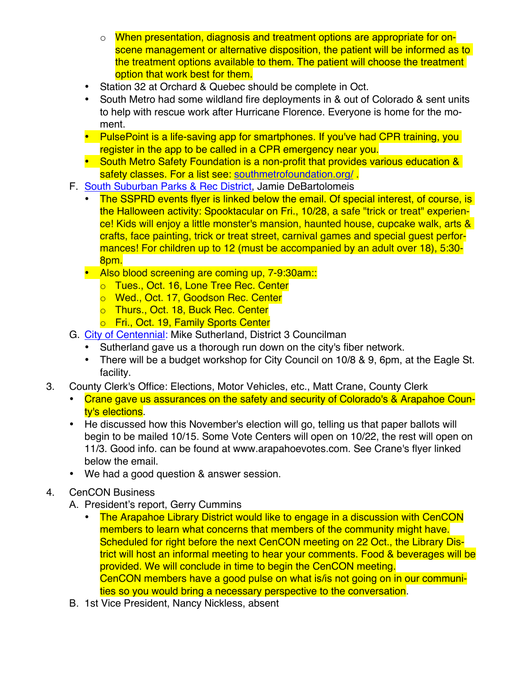- o When presentation, diagnosis and treatment options are appropriate for onscene management or alternative disposition, the patient will be informed as to the treatment options available to them. The patient will choose the treatment option that work best for them.
- Station 32 at Orchard & Quebec should be complete in Oct.
- South Metro had some wildland fire deployments in & out of Colorado & sent units to help with rescue work after Hurricane Florence. Everyone is home for the moment.
- PulsePoint is a life-saving app for smartphones. If you've had CPR training, you register in the app to be called in a CPR emergency near you.
- South Metro Safety Foundation is a non-profit that provides various education & safety classes. For a list see: [southmetrofoundation.org/](http://southmetrofoundation.org/)
- F. [South Suburban Parks & Rec District](http://www.SSPR.org), Jamie DeBartolomeis
	- The SSPRD events flyer is linked below the email. Of special interest, of course, is the Halloween activity: Spooktacular on Fri., 10/28, a safe "trick or treat" experience! Kids will enjoy a little monster's mansion, haunted house, cupcake walk, arts & crafts, face painting, trick or treat street, carnival games and special guest performances! For children up to 12 (must be accompanied by an adult over 18), 5:30- 8pm.
	- Also blood screening are coming up, 7-9:30am:
		- o Tues., Oct. 16, Lone Tree Rec. Center
		- o Wed., Oct. 17, Goodson Rec. Center
		- o Thurs., Oct. 18, Buck Rec. Center
		- o Fri., Oct. 19, Family Sports Center
- G. [City of Centennial:](http://www.centennialco.gov) Mike Sutherland, District 3 Councilman
	- Sutherland gave us a thorough run down on the city's fiber network.
	- There will be a budget workshop for City Council on 10/8 & 9, 6pm, at the Eagle St. facility.
- 3. County Clerk's Office: Elections, Motor Vehicles, etc., Matt Crane, County Clerk
	- Crane gave us assurances on the safety and security of Colorado's & Arapahoe County's elections.
	- He discussed how this November's election will go, telling us that paper ballots will begin to be mailed 10/15. Some Vote Centers will open on 10/22, the rest will open on 11/3. Good info. can be found at www.arapahoevotes.com. See Crane's flyer linked below the email.
	- We had a good question & answer session.
- 4. CenCON Business
	- A. President's report, Gerry Cummins
		- The Arapahoe Library District would like to engage in a discussion with CenCON members to learn what concerns that members of the community might have. Scheduled for right before the next CenCON meeting on 22 Oct., the Library District will host an informal meeting to hear your comments. Food & beverages will be provided. We will conclude in time to begin the CenCON meeting. CenCON members have a good pulse on what is/is not going on in our communities so you would bring a necessary perspective to the conversation.
	- B. 1st Vice President, Nancy Nickless, absent